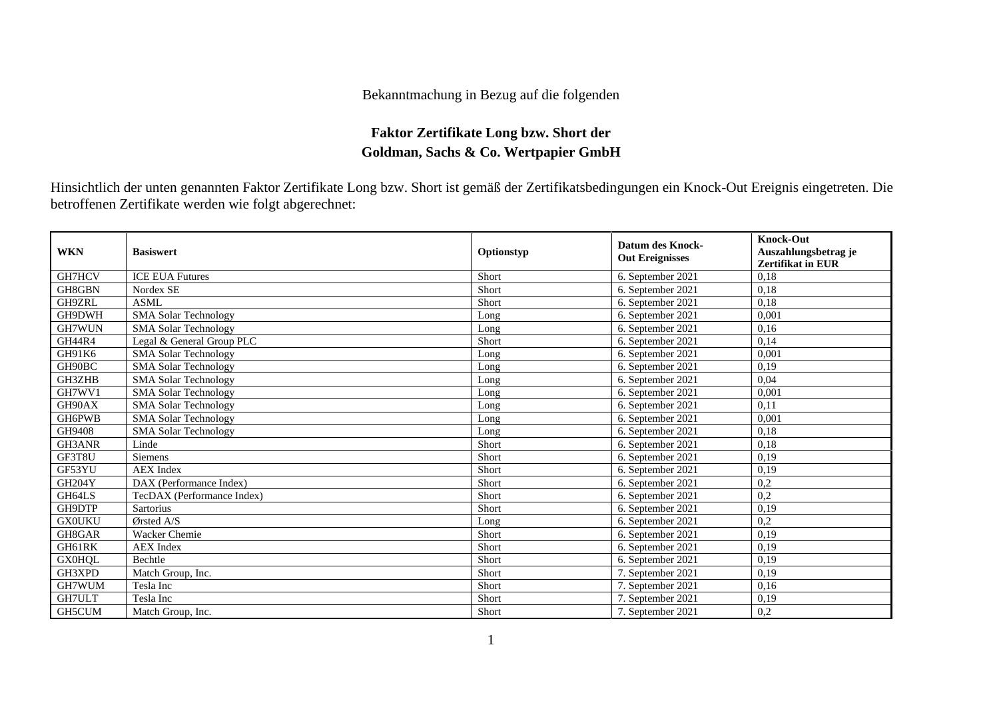## Bekanntmachung in Bezug auf die folgenden

## **Faktor Zertifikate Long bzw. Short der Goldman, Sachs & Co. Wertpapier GmbH**

Hinsichtlich der unten genannten Faktor Zertifikate Long bzw. Short ist gemäß der Zertifikatsbedingungen ein Knock-Out Ereignis eingetreten. Die betroffenen Zertifikate werden wie folgt abgerechnet:

| <b>WKN</b>    | <b>Basiswert</b>            | Optionstyp | <b>Datum des Knock-</b><br><b>Out Ereignisses</b> | <b>Knock-Out</b><br>Auszahlungsbetrag je<br><b>Zertifikat in EUR</b> |
|---------------|-----------------------------|------------|---------------------------------------------------|----------------------------------------------------------------------|
| GH7HCV        | <b>ICE EUA Futures</b>      | Short      | 6. September 2021                                 | 0,18                                                                 |
| GH8GBN        | Nordex SE                   | Short      | 6. September 2021                                 | 0,18                                                                 |
| GH9ZRL        | <b>ASML</b>                 | Short      | 6. September 2021                                 | 0,18                                                                 |
| GH9DWH        | <b>SMA Solar Technology</b> | Long       | 6. September 2021                                 | 0,001                                                                |
| GH7WUN        | <b>SMA Solar Technology</b> | Long       | 6. September 2021                                 | 0,16                                                                 |
| <b>GH44R4</b> | Legal & General Group PLC   | Short      | 6. September 2021                                 | 0,14                                                                 |
| GH91K6        | <b>SMA Solar Technology</b> | Long       | 6. September 2021                                 | 0,001                                                                |
| GH90BC        | <b>SMA Solar Technology</b> | Long       | 6. September 2021                                 | 0,19                                                                 |
| GH3ZHB        | <b>SMA Solar Technology</b> | Long       | 6. September 2021                                 | 0,04                                                                 |
| GH7WV1        | <b>SMA Solar Technology</b> | Long       | 6. September 2021                                 | 0.001                                                                |
| GH90AX        | <b>SMA Solar Technology</b> | Long       | 6. September 2021                                 | 0,11                                                                 |
| GH6PWB        | <b>SMA Solar Technology</b> | Long       | 6. September 2021                                 | 0.001                                                                |
| GH9408        | <b>SMA Solar Technology</b> | Long       | 6. September 2021                                 | 0,18                                                                 |
| GH3ANR        | Linde                       | Short      | 6. September 2021                                 | 0,18                                                                 |
| GF3T8U        | <b>Siemens</b>              | Short      | 6. September 2021                                 | 0,19                                                                 |
| GF53YU        | <b>AEX</b> Index            | Short      | 6. September 2021                                 | 0,19                                                                 |
| <b>GH204Y</b> | DAX (Performance Index)     | Short      | 6. September 2021                                 | 0,2                                                                  |
| GH64LS        | TecDAX (Performance Index)  | Short      | 6. September 2021                                 | 0,2                                                                  |
| GH9DTP        | <b>Sartorius</b>            | Short      | 6. September 2021                                 | 0,19                                                                 |
| <b>GX0UKU</b> | Ørsted A/S                  | Long       | 6. September 2021                                 | 0,2                                                                  |
| GH8GAR        | Wacker Chemie               | Short      | 6. September 2021                                 | 0,19                                                                 |
| GH61RK        | <b>AEX</b> Index            | Short      | 6. September 2021                                 | 0,19                                                                 |
| <b>GX0HQL</b> | Bechtle                     | Short      | 6. September 2021                                 | 0,19                                                                 |
| GH3XPD        | Match Group, Inc.           | Short      | 7. September 2021                                 | 0,19                                                                 |
| GH7WUM        | Tesla Inc                   | Short      | 7. September 2021                                 | 0,16                                                                 |
| GH7ULT        | Tesla Inc                   | Short      | 7. September 2021                                 | 0,19                                                                 |
| GH5CUM        | Match Group, Inc.           | Short      | 7. September 2021                                 | 0,2                                                                  |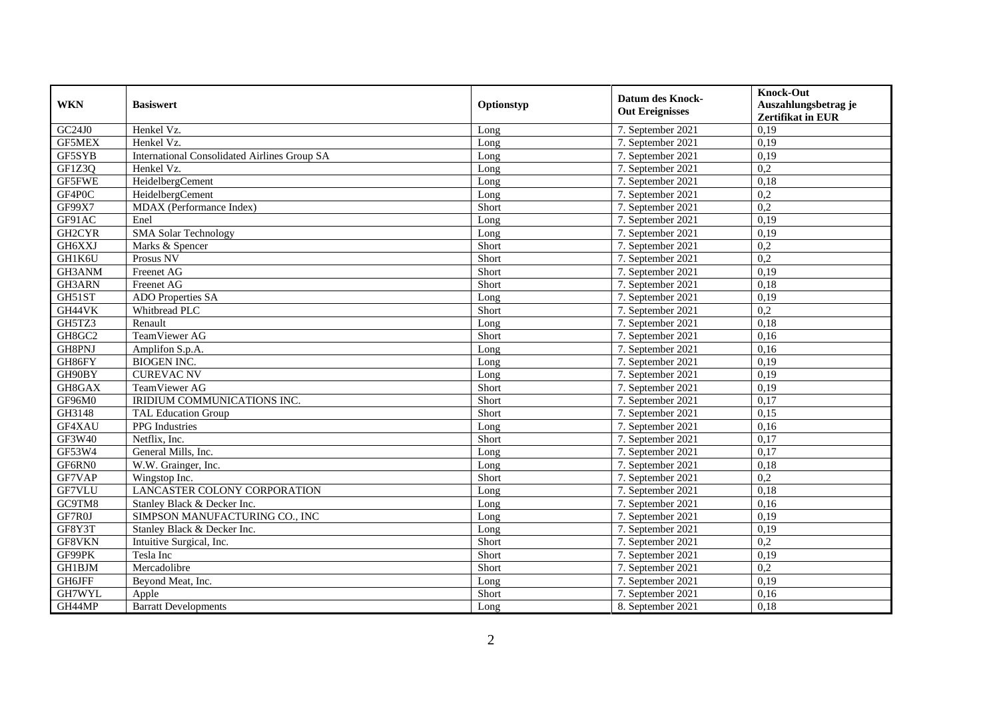| <b>WKN</b>    | <b>Basiswert</b>                                    | Optionstyp | <b>Datum des Knock-</b><br><b>Out Ereignisses</b> | <b>Knock-Out</b><br>Auszahlungsbetrag je<br>Zertifikat in EUR |
|---------------|-----------------------------------------------------|------------|---------------------------------------------------|---------------------------------------------------------------|
| GC24J0        | Henkel Vz.                                          | Long       | 7. September 2021                                 | 0,19                                                          |
| <b>GF5MEX</b> | Henkel Vz.                                          | Long       | 7. September 2021                                 | 0,19                                                          |
| GF5SYB        | <b>International Consolidated Airlines Group SA</b> | Long       | 7. September 2021                                 | 0,19                                                          |
| GF1Z3Q        | Henkel Vz.                                          | Long       | 7. September 2021                                 | 0,2                                                           |
| <b>GF5FWE</b> | HeidelbergCement                                    | Long       | 7. September 2021                                 | 0,18                                                          |
| GF4P0C        | HeidelbergCement                                    | Long       | 7. September 2021                                 | 0,2                                                           |
| GF99X7        | MDAX (Performance Index)                            | Short      | 7. September 2021                                 | 0,2                                                           |
| GF91AC        | Enel                                                | Long       | 7. September 2021                                 | 0,19                                                          |
| GH2CYR        | <b>SMA Solar Technology</b>                         | Long       | 7. September 2021                                 | 0,19                                                          |
| GH6XXJ        | Marks & Spencer                                     | Short      | 7. September 2021                                 | 0,2                                                           |
| GH1K6U        | Prosus NV                                           | Short      | 7. September 2021                                 | $\overline{0.2}$                                              |
| GH3ANM        | Freenet AG                                          | Short      | 7. September 2021                                 | 0,19                                                          |
| GH3ARN        | Freenet AG                                          | Short      | 7. September 2021                                 | 0,18                                                          |
| GH51ST        | ADO Properties SA                                   | Long       | 7. September 2021                                 | 0,19                                                          |
| GH44VK        | Whitbread PLC                                       | Short      | 7. September 2021                                 | 0,2                                                           |
| GH5TZ3        | Renault                                             | Long       | 7. September 2021                                 | 0,18                                                          |
| GH8GC2        | TeamViewer AG                                       | Short      | 7. September 2021                                 | 0,16                                                          |
| GH8PNJ        | Amplifon S.p.A.                                     | Long       | 7. September 2021                                 | 0,16                                                          |
| GH86FY        | <b>BIOGEN INC.</b>                                  | Long       | 7. September 2021                                 | 0,19                                                          |
| GH90BY        | <b>CUREVAC NV</b>                                   | Long       | 7. September 2021                                 | 0,19                                                          |
| GH8GAX        | TeamViewer AG                                       | Short      | 7. September 2021                                 | 0,19                                                          |
| GF96M0        | IRIDIUM COMMUNICATIONS INC.                         | Short      | 7. September 2021                                 | 0,17                                                          |
| GH3148        | <b>TAL Education Group</b>                          | Short      | 7. September 2021                                 | 0,15                                                          |
| GF4XAU        | PPG Industries                                      | Long       | 7. September 2021                                 | 0,16                                                          |
| GF3W40        | Netflix. Inc.                                       | Short      | 7. September 2021                                 | 0,17                                                          |
| GF53W4        | General Mills, Inc.                                 | Long       | 7. September 2021                                 | 0,17                                                          |
| GF6RN0        | W.W. Grainger, Inc.                                 | Long       | 7. September 2021                                 | 0,18                                                          |
| GF7VAP        | Wingstop Inc.                                       | Short      | 7. September 2021                                 | 0,2                                                           |
| GF7VLU        | LANCASTER COLONY CORPORATION                        | Long       | 7. September 2021                                 | 0,18                                                          |
| GC9TM8        | Stanley Black & Decker Inc.                         | Long       | 7. September 2021                                 | 0,16                                                          |
| GF7R0J        | SIMPSON MANUFACTURING CO., INC                      | Long       | 7. September 2021                                 | 0,19                                                          |
| GF8Y3T        | Stanley Black & Decker Inc.                         | Long       | 7. September 2021                                 | 0,19                                                          |
| GF8VKN        | Intuitive Surgical, Inc.                            | Short      | 7. September 2021                                 | $\overline{0.2}$                                              |
| GF99PK        | Tesla Inc                                           | Short      | 7. September 2021                                 | 0,19                                                          |
| <b>GH1BJM</b> | Mercadolibre                                        | Short      | 7. September 2021                                 | 0,2                                                           |
| GH6JFF        | Beyond Meat, Inc.                                   | Long       | 7. September 2021                                 | 0,19                                                          |
| GH7WYL        | Apple                                               | Short      | 7. September 2021                                 | 0,16                                                          |
| GH44MP        | <b>Barratt Developments</b>                         | Long       | 8. September 2021                                 | 0,18                                                          |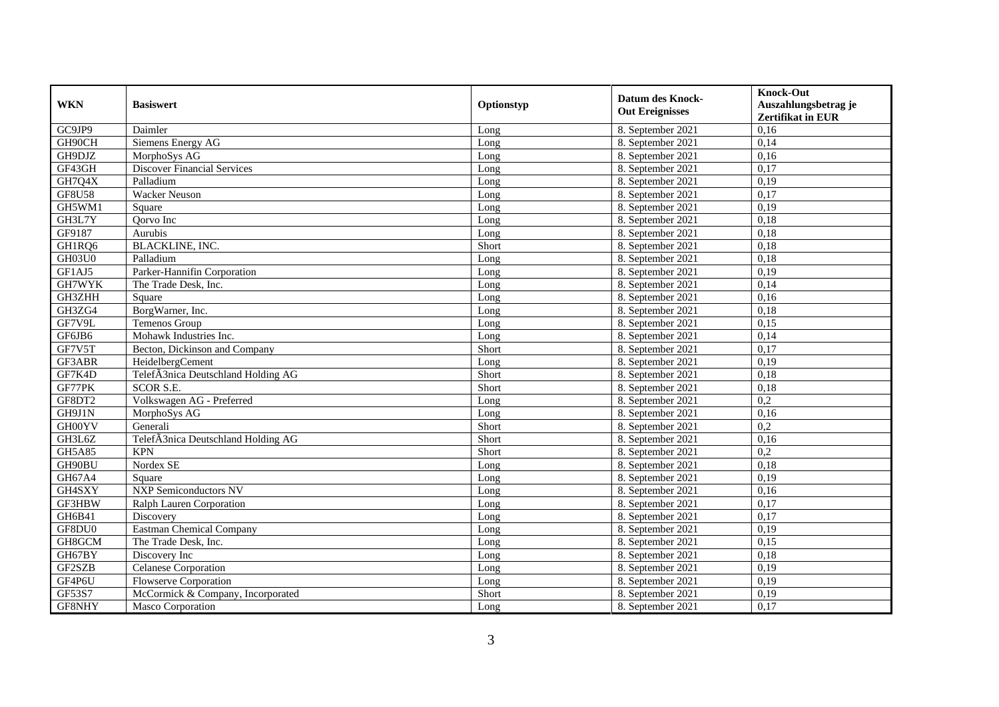| <b>WKN</b>    | <b>Basiswert</b>                   | Optionstyp | <b>Datum des Knock-</b><br><b>Out Ereignisses</b> | <b>Knock-Out</b><br>Auszahlungsbetrag je<br><b>Zertifikat in EUR</b> |
|---------------|------------------------------------|------------|---------------------------------------------------|----------------------------------------------------------------------|
| GC9JP9        | Daimler                            | Long       | 8. September 2021                                 | 0,16                                                                 |
| GH90CH        | Siemens Energy AG                  | Long       | 8. September 2021                                 | 0,14                                                                 |
| GH9DJZ        | MorphoSys AG                       | Long       | 8. September 2021                                 | 0,16                                                                 |
| GF43GH        | <b>Discover Financial Services</b> | Long       | 8. September 2021                                 | 0,17                                                                 |
| GH7Q4X        | Palladium                          | Long       | 8. September 2021                                 | 0,19                                                                 |
| <b>GF8U58</b> | <b>Wacker Neuson</b>               | Long       | 8. September 2021                                 | 0,17                                                                 |
| GH5WM1        | Square                             | Long       | 8. September 2021                                 | 0,19                                                                 |
| GH3L7Y        | Qorvo Inc                          | Long       | 8. September 2021                                 | 0,18                                                                 |
| GF9187        | Aurubis                            | Long       | 8. September 2021                                 | 0,18                                                                 |
| GH1RQ6        | BLACKLINE, INC.                    | Short      | 8. September 2021                                 | 0,18                                                                 |
| GH03U0        | Palladium                          | Long       | 8. September 2021                                 | 0,18                                                                 |
| GF1AJ5        | Parker-Hannifin Corporation        | Long       | 8. September 2021                                 | 0,19                                                                 |
| GH7WYK        | The Trade Desk, Inc.               | Long       | 8. September 2021                                 | 0,14                                                                 |
| GH3ZHH        | Square                             | Long       | 8. September 2021                                 | 0.16                                                                 |
| GH3ZG4        | BorgWarner, Inc.                   | Long       | 8. September 2021                                 | 0,18                                                                 |
| GF7V9L        | Temenos Group                      | Long       | 8. September 2021                                 | 0,15                                                                 |
| GF6JB6        | Mohawk Industries Inc.             | Long       | 8. September 2021                                 | 0,14                                                                 |
| GF7V5T        | Becton, Dickinson and Company      | Short      | 8. September 2021                                 | 0,17                                                                 |
| GF3ABR        | HeidelbergCement                   | Long       | 8. September 2021                                 | 0,19                                                                 |
| GF7K4D        | TelefÃ3nica Deutschland Holding AG | Short      | 8. September 2021                                 | 0,18                                                                 |
| GF77PK        | <b>SCOR S.E.</b>                   | Short      | 8. September 2021                                 | 0,18                                                                 |
| GF8DT2        | Volkswagen AG - Preferred          | Long       | 8. September 2021                                 | 0,2                                                                  |
| GH9J1N        | MorphoSys AG                       | Long       | 8. September 2021                                 | 0,16                                                                 |
| GH00YV        | Generali                           | Short      | 8. September 2021                                 | 0,2                                                                  |
| GH3L6Z        | TelefÃ3nica Deutschland Holding AG | Short      | 8. September 2021                                 | 0,16                                                                 |
| <b>GH5A85</b> | <b>KPN</b>                         | Short      | 8. September 2021                                 | 0,2                                                                  |
| GH90BU        | Nordex SE                          | Long       | 8. September 2021                                 | 0,18                                                                 |
| GH67A4        | Square                             | Long       | 8. September 2021                                 | 0,19                                                                 |
| GH4SXY        | <b>NXP Semiconductors NV</b>       | Long       | 8. September 2021                                 | 0,16                                                                 |
| GF3HBW        | Ralph Lauren Corporation           | Long       | 8. September 2021                                 | 0,17                                                                 |
| GH6B41        | Discovery                          | Long       | 8. September 2021                                 | 0,17                                                                 |
| GF8DU0        | <b>Eastman Chemical Company</b>    | Long       | 8. September 2021                                 | 0,19                                                                 |
| GH8GCM        | The Trade Desk, Inc.               | Long       | 8. September 2021                                 | 0,15                                                                 |
| GH67BY        | Discovery Inc                      | Long       | 8. September 2021                                 | 0,18                                                                 |
| GF2SZB        | Celanese Corporation               | Long       | 8. September 2021                                 | 0,19                                                                 |
| GF4P6U        | <b>Flowserve Corporation</b>       | Long       | 8. September 2021                                 | 0,19                                                                 |
| GF53S7        | McCormick & Company, Incorporated  | Short      | 8. September 2021                                 | 0,19                                                                 |
| GF8NHY        | Masco Corporation                  | Long       | 8. September 2021                                 | 0,17                                                                 |